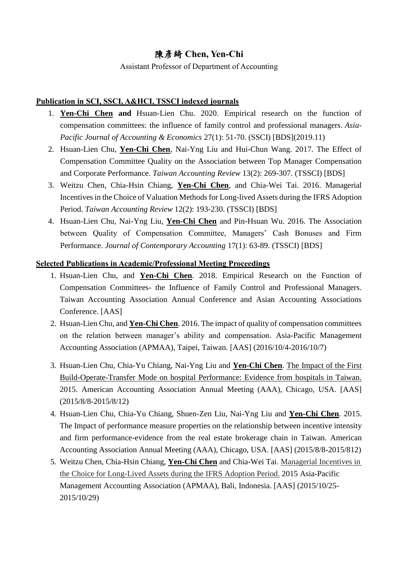## 陳彥綺 **Chen, Yen-Chi**

Assistant Professor of Department of Accounting

## **Publication in SCI, SSCI, A&HCI, TSSCI indexed journals**

- 1. **Yen-Chi Chen and** Hsuan-Lien Chu. 2020. Empirical research on the function of compensation committees: the influence of family control and professional managers. *Asia-Pacific Journal of Accounting & Economics* 27(1): 51-70. (SSCI) [BDS](2019.11)
- 2. Hsuan-Lien Chu, **Yen-Chi Chen**, Nai-Yng Liu and Hui-Chun Wang. 2017. The Effect of Compensation Committee Quality on the Association between Top Manager Compensation and Corporate Performance. *Taiwan Accounting Review* 13(2): 269-307. (TSSCI) [BDS]
- 3. Weitzu Chen, Chia-Hsin Chiang, **Yen-Chi Chen**, and Chia-Wei Tai. 2016. Managerial Incentives in the Choice of Valuation Methods for Long-lived Assets during the IFRS Adoption Period. *Taiwan Accounting Review* 12(2): 193-230. (TSSCI) [BDS]
- 4. Hsuan-Lien Chu, Nai-Yng Liu, **Yen-Chi Chen** and Pin-Hsuan Wu. 2016. The Association between Quality of Compensation Committee, Managers' Cash Bonuses and Firm Performance. *Journal of Contemporary Accounting* 17(1): 63-89. (TSSCI) [BDS]

## **Selected Publications in Academic/Professional Meeting Proceedings**

- 1. Hsuan-Lien Chu, and **Yen-Chi Chen**. 2018. Empirical Research on the Function of Compensation Committees- the Influence of Family Control and Professional Managers. Taiwan Accounting Association Annual Conference and Asian Accounting Associations Conference. [AAS]
- 2. Hsuan-Lien Chu, and **Yen-Chi Chen**. 2016. The impact of quality of compensation committees on the relation between manager's ability and compensation. Asia-Pacific Management Accounting Association (APMAA), Taipei, Taiwan. [AAS] (2016/10/4-2016/10/7)
- 3. Hsuan-Lien Chu, Chia-Yu Chiang, Nai-Yng Liu and **Yen-Chi Chen**. The Impact of the First Build-Operate-Transfer Mode on hospital Performance: Evidence from hospitals in Taiwan. 2015. American Accounting Association Annual Meeting (AAA), Chicago, USA. [AAS] (2015/8/8-2015/8/12)
- 4. Hsuan-Lien Chu, Chia-Yu Chiang, Shuen-Zen Liu, Nai-Yng Liu and **Yen-Chi Chen**. 2015. The Impact of performance measure properties on the relationship between incentive intensity and firm performance-evidence from the real estate brokerage chain in Taiwan. American Accounting Association Annual Meeting (AAA), Chicago, USA. [AAS] (2015/8/8-2015/812)
- 5. Weitzu Chen, Chia-Hsin Chiang, **Yen-Chi Chen** and Chia-Wei Tai. Managerial Incentives in the Choice for Long-Lived Assets during the IFRS Adoption Period. 2015 Asia-Pacific Management Accounting Association (APMAA), Bali, Indonesia. [AAS] (2015/10/25- 2015/10/29)